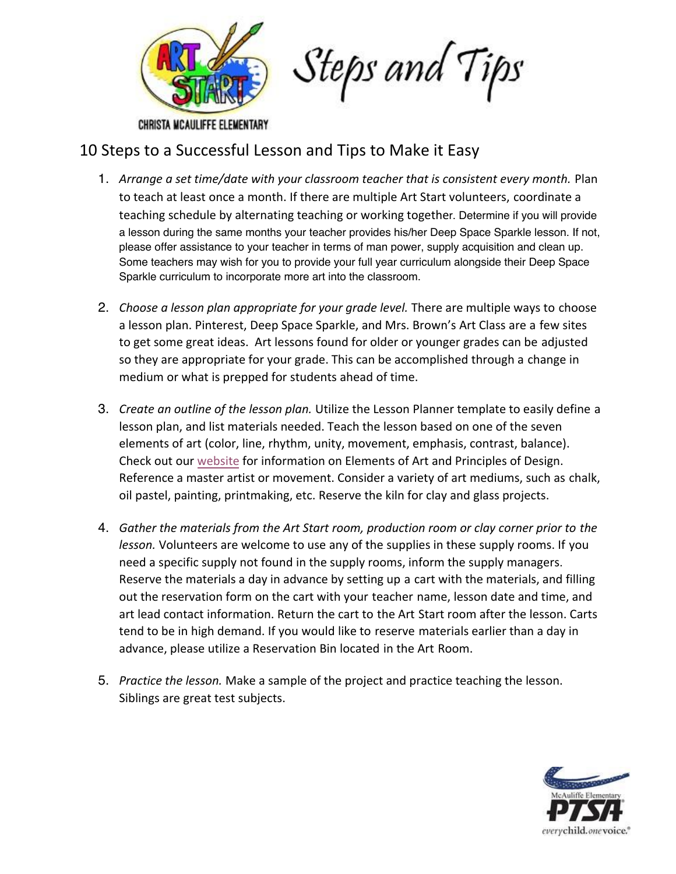

CHRISTA MCAULIFFE ELEMENTARY

## 10 Steps to a Successful Lesson and Tips to Make it Easy

- 1. *Arrange a set time/date with your classroom teacher that is consistent every month.* Plan to teach at least once a month. If there are multiple Art Start volunteers, coordinate a teaching schedule by alternating teaching or working together. Determine if you will provide a lesson during the same months your teacher provides his/her Deep Space Sparkle lesson. If not, please offer assistance to your teacher in terms of man power, supply acquisition and clean up. Some teachers may wish for you to provide your full year curriculum alongside their Deep Space Sparkle curriculum to incorporate more art into the classroom.
- 2. *Choose a lesson plan appropriate for your grade level.* There are multiple ways to choose a lesson plan. Pinterest, Deep Space Sparkle, and Mrs. Brown's Art Class are a few sites to get some great ideas. Art lessons found for older or younger grades can be adjusted so they are appropriate for your grade. This can be accomplished through a change in medium or what is prepped for students ahead of time.
- 3. *Create an outline of the lesson plan.* Utilize the Lesson Planner template to easily define a lesson plan, and list materials needed. Teach the lesson based on one of the seven elements of art (color, line, rhythm, unity, movement, emphasis, contrast, balance). Check out our [website](http://www.mcauliffeptsa.org/art-start1.html) for information on Elements of Art and Principles of Design. Reference a master artist or movement. Consider a variety of art mediums, such as chalk, oil pastel, painting, printmaking, etc. Reserve the kiln for clay and glass projects.
- 4. *Gather the materials from the Art Start room, production room or clay corner prior to the lesson.* Volunteers are welcome to use any of the supplies in these supply rooms. If you need a specific supply not found in the supply rooms, inform the supply managers. Reserve the materials a day in advance by setting up a cart with the materials, and filling out the reservation form on the cart with your teacher name, lesson date and time, and art lead contact information. Return the cart to the Art Start room after the lesson. Carts tend to be in high demand. If you would like to reserve materials earlier than a day in advance, please utilize a Reservation Bin located in the Art Room.
- 5. *Practice the lesson.* Make a sample of the project and practice teaching the lesson. Siblings are great test subjects.